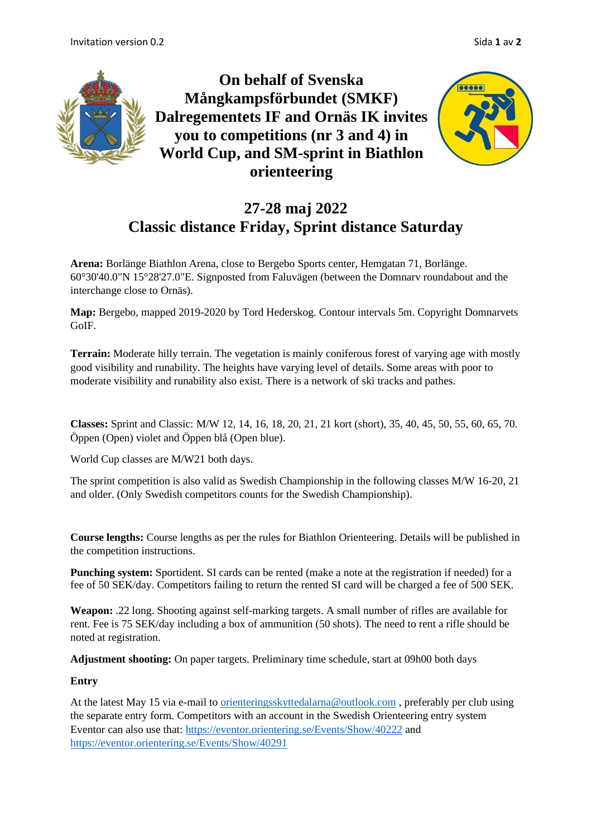

### **27-28 maj 2022 Classic distance Friday, Sprint distance Saturday**

**Arena:** Borlänge Biathlon Arena, close to Bergebo Sports center, Hemgatan 71, Borlänge. 60°30'40.0"N 15°28'27.0"E. Signposted from Faluvägen (between the Domnarv roundabout and the interchange close to Ornäs).

**Map:** Bergebo, mapped 2019-2020 by Tord Hederskog. Contour intervals 5m. Copyright Domnarvets GoIF.

**Terrain:** Moderate hilly terrain. The vegetation is mainly coniferous forest of varying age with mostly good visibility and runability. The heights have varying level of details. Some areas with poor to moderate visibility and runability also exist. There is a network of ski tracks and pathes.

**Classes:** Sprint and Classic: M/W 12, 14, 16, 18, 20, 21, 21 kort (short), 35, 40, 45, 50, 55, 60, 65, 70. Öppen (Open) violet and Öppen blå (Open blue).

World Cup classes are M/W21 both days.

The sprint competition is also valid as Swedish Championship in the following classes M/W 16-20, 21 and older. (Only Swedish competitors counts for the Swedish Championship).

**Course lengths:** Course lengths as per the rules for Biathlon Orienteering. Details will be published in the competition instructions.

**Punching system:** Sportident. SI cards can be rented (make a note at the registration if needed) for a fee of 50 SEK/day. Competitors failing to return the rented SI card will be charged a fee of 500 SEK.

**Weapon:** .22 long. Shooting against self-marking targets. A small number of rifles are available for rent. Fee is 75 SEK/day including a box of ammunition (50 shots). The need to rent a rifle should be noted at registration.

**Adjustment shooting:** On paper targets. Preliminary time schedule, start at 09h00 both days

### **Entry**

At the latest May 15 via e-mail to [orienteringsskyttedalarna@outlook.com](mailto:orienteringsskyttedalarna@outlook.com) , preferably per club using the separate entry form. Competitors with an account in the Swedish Orienteering entry system Eventor can also use that: <https://eventor.orientering.se/Events/Show/40222> and <https://eventor.orientering.se/Events/Show/40291>